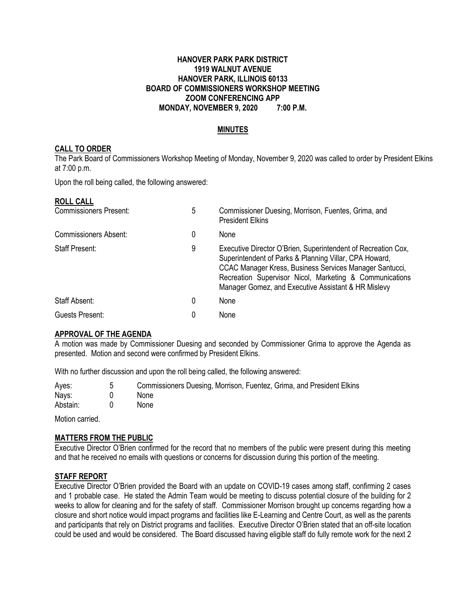#### **HANOVER PARK PARK DISTRICT 1919 WALNUT AVENUE HANOVER PARK, ILLINOIS 60133 BOARD OF COMMISSIONERS WORKSHOP MEETING ZOOM CONFERENCING APP MONDAY, NOVEMBER 9, 2020 7:00 P.M.**

### **MINUTES**

#### **CALL TO ORDER**

The Park Board of Commissioners Workshop Meeting of Monday, November 9, 2020 was called to order by President Elkins at 7:00 p.m.

Upon the roll being called, the following answered:

#### **ROLL CALL**

| <b>Commissioners Present:</b> | 5 | Commissioner Duesing, Morrison, Fuentes, Grima, and<br><b>President Elkins</b>                                                                                                                                                                                                                       |
|-------------------------------|---|------------------------------------------------------------------------------------------------------------------------------------------------------------------------------------------------------------------------------------------------------------------------------------------------------|
| <b>Commissioners Absent:</b>  | 0 | None                                                                                                                                                                                                                                                                                                 |
| <b>Staff Present:</b>         | 9 | Executive Director O'Brien, Superintendent of Recreation Cox,<br>Superintendent of Parks & Planning Villar, CPA Howard,<br>CCAC Manager Kress, Business Services Manager Santucci,<br>Recreation Supervisor Nicol, Marketing & Communications<br>Manager Gomez, and Executive Assistant & HR Mislevy |
| Staff Absent:                 | 0 | None                                                                                                                                                                                                                                                                                                 |
| Guests Present:               | 0 | None                                                                                                                                                                                                                                                                                                 |

#### **APPROVAL OF THE AGENDA**

A motion was made by Commissioner Duesing and seconded by Commissioner Grima to approve the Agenda as presented. Motion and second were confirmed by President Elkins.

With no further discussion and upon the roll being called, the following answered:

| Ayes:    | Commissioners Duesing, Morrison, Fuentez, Grima, and President Elkins |
|----------|-----------------------------------------------------------------------|
| Nays:    | <b>None</b>                                                           |
| Abstain: | None                                                                  |

Motion carried.

#### **MATTERS FROM THE PUBLIC**

Executive Director O'Brien confirmed for the record that no members of the public were present during this meeting and that he received no emails with questions or concerns for discussion during this portion of the meeting.

#### **STAFF REPORT**

Executive Director O'Brien provided the Board with an update on COVID-19 cases among staff, confirming 2 cases and 1 probable case. He stated the Admin Team would be meeting to discuss potential closure of the building for 2 weeks to allow for cleaning and for the safety of staff. Commissioner Morrison brought up concerns regarding how a closure and short notice would impact programs and facilities like E-Learning and Centre Court, as well as the parents and participants that rely on District programs and facilities. Executive Director O'Brien stated that an off-site location could be used and would be considered. The Board discussed having eligible staff do fully remote work for the next 2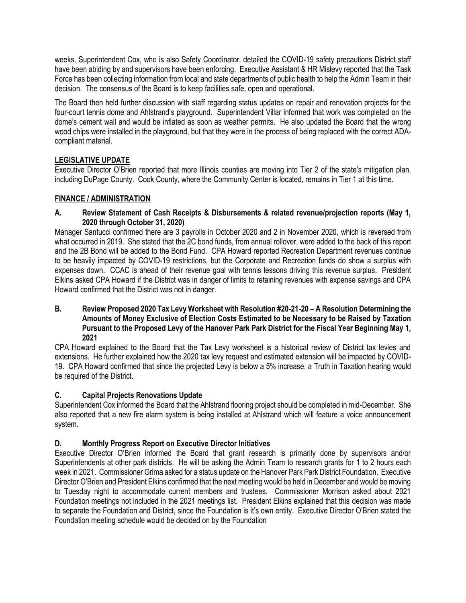weeks. Superintendent Cox, who is also Safety Coordinator, detailed the COVID-19 safety precautions District staff have been abiding by and supervisors have been enforcing. Executive Assistant & HR Mislevy reported that the Task Force has been collecting information from local and state departments of public health to help the Admin Team in their decision. The consensus of the Board is to keep facilities safe, open and operational.

The Board then held further discussion with staff regarding status updates on repair and renovation projects for the four-court tennis dome and Ahlstrand's playground. Superintendent Villar informed that work was completed on the dome's cement wall and would be inflated as soon as weather permits. He also updated the Board that the wrong wood chips were installed in the playground, but that they were in the process of being replaced with the correct ADAcompliant material.

# **LEGISLATIVE UPDATE**

Executive Director O'Brien reported that more Illinois counties are moving into Tier 2 of the state's mitigation plan, including DuPage County. Cook County, where the Community Center is located, remains in Tier 1 at this time.

# **FINANCE / ADMINISTRATION**

### **A. Review Statement of Cash Receipts & Disbursements & related revenue/projection reports (May 1, 2020 through October 31, 2020)**

Manager Santucci confirmed there are 3 payrolls in October 2020 and 2 in November 2020, which is reversed from what occurred in 2019. She stated that the 2C bond funds, from annual rollover, were added to the back of this report and the 2B Bond will be added to the Bond Fund. CPA Howard reported Recreation Department revenues continue to be heavily impacted by COVID-19 restrictions, but the Corporate and Recreation funds do show a surplus with expenses down. CCAC is ahead of their revenue goal with tennis lessons driving this revenue surplus. President Elkins asked CPA Howard if the District was in danger of limits to retaining revenues with expense savings and CPA Howard confirmed that the District was not in danger.

#### **B. Review Proposed 2020 Tax Levy Worksheet with Resolution #20-21-20 – A Resolution Determining the Amounts of Money Exclusive of Election Costs Estimated to be Necessary to be Raised by Taxation Pursuant to the Proposed Levy of the Hanover Park Park District for the Fiscal Year Beginning May 1, 2021**

CPA Howard explained to the Board that the Tax Levy worksheet is a historical review of District tax levies and extensions. He further explained how the 2020 tax levy request and estimated extension will be impacted by COVID-19. CPA Howard confirmed that since the projected Levy is below a 5% increase, a Truth in Taxation hearing would be required of the District.

# **C. Capital Projects Renovations Update**

Superintendent Cox informed the Board that the Ahlstrand flooring project should be completed in mid-December. She also reported that a new fire alarm system is being installed at Ahlstrand which will feature a voice announcement system.

# **D. Monthly Progress Report on Executive Director Initiatives**

Executive Director O'Brien informed the Board that grant research is primarily done by supervisors and/or Superintendents at other park districts. He will be asking the Admin Team to research grants for 1 to 2 hours each week in 2021. Commissioner Grima asked for a status update on the Hanover Park Park District Foundation. Executive Director O'Brien and President Elkins confirmed that the next meeting would be held in December and would be moving to Tuesday night to accommodate current members and trustees. Commissioner Morrison asked about 2021 Foundation meetings not included in the 2021 meetings list. President Elkins explained that this decision was made to separate the Foundation and District, since the Foundation is it's own entity. Executive Director O'Brien stated the Foundation meeting schedule would be decided on by the Foundation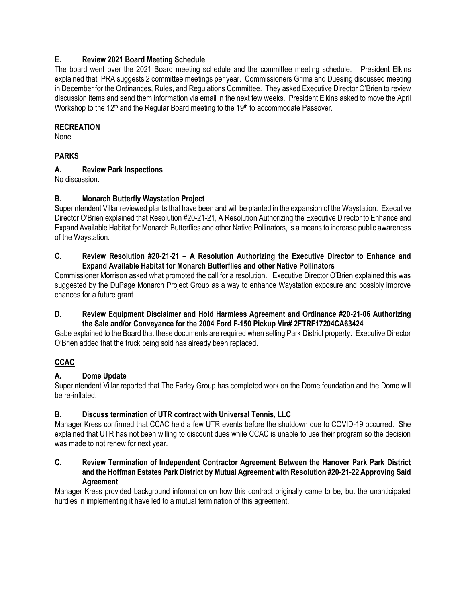### **E. Review 2021 Board Meeting Schedule**

The board went over the 2021 Board meeting schedule and the committee meeting schedule. President Elkins explained that IPRA suggests 2 committee meetings per year. Commissioners Grima and Duesing discussed meeting in December for the Ordinances, Rules, and Regulations Committee. They asked Executive Director O'Brien to review discussion items and send them information via email in the next few weeks. President Elkins asked to move the April Workshop to the  $12<sup>th</sup>$  and the Regular Board meeting to the  $19<sup>th</sup>$  to accommodate Passover.

### **RECREATION**

None

### **PARKS**

### **A. Review Park Inspections**

No discussion.

### **B. Monarch Butterfly Waystation Project**

Superintendent Villar reviewed plants that have been and will be planted in the expansion of the Waystation. Executive Director O'Brien explained that Resolution #20-21-21, A Resolution Authorizing the Executive Director to Enhance and Expand Available Habitat for Monarch Butterflies and other Native Pollinators, is a means to increase public awareness of the Waystation.

### **C. Review Resolution #20-21-21 – A Resolution Authorizing the Executive Director to Enhance and Expand Available Habitat for Monarch Butterflies and other Native Pollinators**

Commissioner Morrison asked what prompted the call for a resolution. Executive Director O'Brien explained this was suggested by the DuPage Monarch Project Group as a way to enhance Waystation exposure and possibly improve chances for a future grant

### **D. Review Equipment Disclaimer and Hold Harmless Agreement and Ordinance #20-21-06 Authorizing the Sale and/or Conveyance for the 2004 Ford F-150 Pickup Vin# 2FTRF17204CA63424**

Gabe explained to the Board that these documents are required when selling Park District property. Executive Director O'Brien added that the truck being sold has already been replaced.

# **CCAC**

# **A. Dome Update**

Superintendent Villar reported that The Farley Group has completed work on the Dome foundation and the Dome will be re-inflated.

# **B. Discuss termination of UTR contract with Universal Tennis, LLC**

Manager Kress confirmed that CCAC held a few UTR events before the shutdown due to COVID-19 occurred. She explained that UTR has not been willing to discount dues while CCAC is unable to use their program so the decision was made to not renew for next year.

### **C. Review Termination of Independent Contractor Agreement Between the Hanover Park Park District and the Hoffman Estates Park District by Mutual Agreement with Resolution #20-21-22 Approving Said Agreement**

Manager Kress provided background information on how this contract originally came to be, but the unanticipated hurdles in implementing it have led to a mutual termination of this agreement.